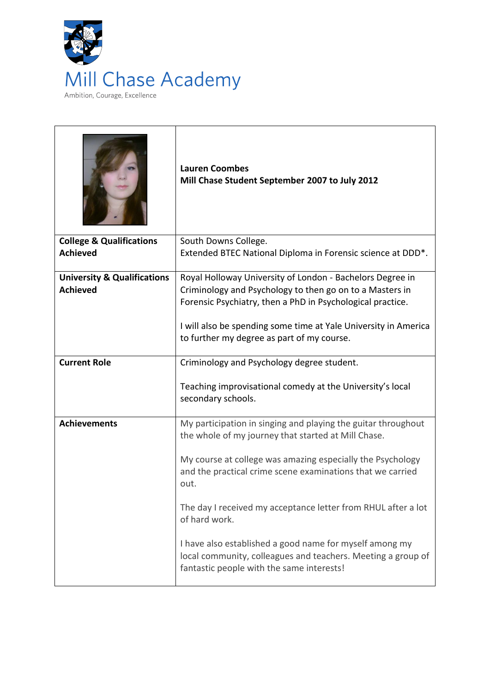

|                                                           | <b>Lauren Coombes</b><br>Mill Chase Student September 2007 to July 2012                                                                                              |
|-----------------------------------------------------------|----------------------------------------------------------------------------------------------------------------------------------------------------------------------|
| <b>College &amp; Qualifications</b>                       | South Downs College.                                                                                                                                                 |
| <b>Achieved</b>                                           | Extended BTEC National Diploma in Forensic science at DDD*.                                                                                                          |
| <b>University &amp; Qualifications</b><br><b>Achieved</b> | Royal Holloway University of London - Bachelors Degree in<br>Criminology and Psychology to then go on to a Masters in                                                |
|                                                           | Forensic Psychiatry, then a PhD in Psychological practice.                                                                                                           |
|                                                           | I will also be spending some time at Yale University in America                                                                                                      |
|                                                           | to further my degree as part of my course.                                                                                                                           |
| <b>Current Role</b>                                       | Criminology and Psychology degree student.                                                                                                                           |
|                                                           | Teaching improvisational comedy at the University's local<br>secondary schools.                                                                                      |
| <b>Achievements</b>                                       | My participation in singing and playing the guitar throughout<br>the whole of my journey that started at Mill Chase.                                                 |
|                                                           | My course at college was amazing especially the Psychology<br>and the practical crime scene examinations that we carried<br>out.                                     |
|                                                           | The day I received my acceptance letter from RHUL after a lot<br>of hard work.                                                                                       |
|                                                           | I have also established a good name for myself among my<br>local community, colleagues and teachers. Meeting a group of<br>fantastic people with the same interests! |